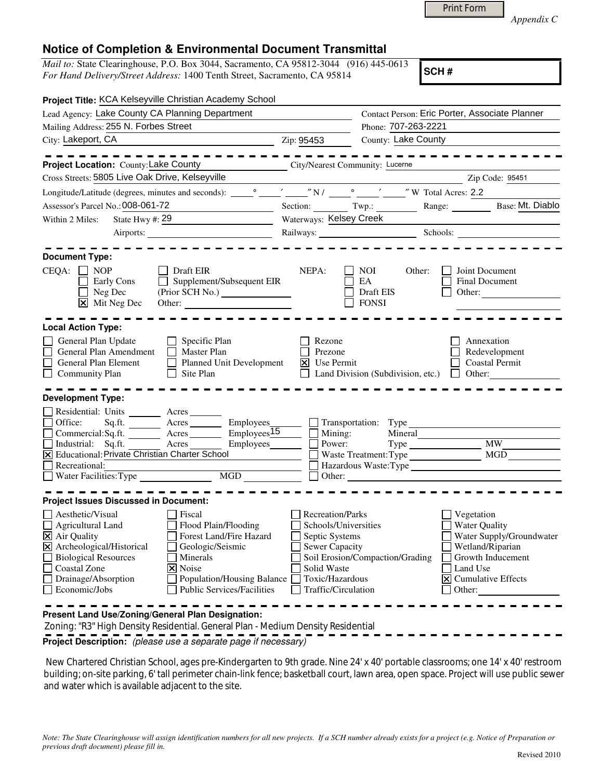| Print Form |  |
|------------|--|
|            |  |

*Appendix C* 

## **Notice of Completion & Environmental Document Transmittal**

*Mail to:* State Clearinghouse, P.O. Box 3044, Sacramento, CA 95812-3044 (916) 445-0613 *For Hand Delivery/Street Address:* 1400 Tenth Street, Sacramento, CA 95814

**SCH #**

|                                                                                                                                                                                                                                            | Project Title: KCA Kelseyville Christian Academy School                                                                                                                 |                                                                                                                                                                                                                                                                                                              |                                                  |                                                                                                                                                                                         |  |
|--------------------------------------------------------------------------------------------------------------------------------------------------------------------------------------------------------------------------------------------|-------------------------------------------------------------------------------------------------------------------------------------------------------------------------|--------------------------------------------------------------------------------------------------------------------------------------------------------------------------------------------------------------------------------------------------------------------------------------------------------------|--------------------------------------------------|-----------------------------------------------------------------------------------------------------------------------------------------------------------------------------------------|--|
| Lead Agency: Lake County CA Planning Department                                                                                                                                                                                            |                                                                                                                                                                         |                                                                                                                                                                                                                                                                                                              | Contact Person: Eric Porter, Associate Planner   |                                                                                                                                                                                         |  |
| Mailing Address: 255 N. Forbes Street                                                                                                                                                                                                      | Phone: 707-263-2221                                                                                                                                                     |                                                                                                                                                                                                                                                                                                              |                                                  |                                                                                                                                                                                         |  |
| City: Lakeport, CA                                                                                                                                                                                                                         |                                                                                                                                                                         | Zip: 95453                                                                                                                                                                                                                                                                                                   | County: Lake County                              |                                                                                                                                                                                         |  |
|                                                                                                                                                                                                                                            |                                                                                                                                                                         |                                                                                                                                                                                                                                                                                                              |                                                  |                                                                                                                                                                                         |  |
| Project Location: County: Lake County                                                                                                                                                                                                      |                                                                                                                                                                         |                                                                                                                                                                                                                                                                                                              | City/Nearest Community: Lucerne                  |                                                                                                                                                                                         |  |
| Cross Streets: 5805 Live Oak Drive, Kelseyville                                                                                                                                                                                            |                                                                                                                                                                         |                                                                                                                                                                                                                                                                                                              |                                                  | Zip Code: 95451                                                                                                                                                                         |  |
|                                                                                                                                                                                                                                            |                                                                                                                                                                         |                                                                                                                                                                                                                                                                                                              |                                                  |                                                                                                                                                                                         |  |
| Assessor's Parcel No.: 008-061-72                                                                                                                                                                                                          |                                                                                                                                                                         |                                                                                                                                                                                                                                                                                                              |                                                  | Section: Twp.: Range: Base: Mt. Diablo                                                                                                                                                  |  |
| Within 2 Miles:                                                                                                                                                                                                                            |                                                                                                                                                                         | Waterways: Kelsey Creek                                                                                                                                                                                                                                                                                      |                                                  |                                                                                                                                                                                         |  |
|                                                                                                                                                                                                                                            |                                                                                                                                                                         | the control of the control of the control of the control of the control of<br>Railways: Schools: Schools: 2000 Schools: 2000 Schools: 2000 Schools: 2000 Schools: 2000 Schools: 2000 Schools: 2000 Schools: 2000 Schools: 2000 Schools: 2000 Schools: 2000 Schools: 2000 Schools: 2000 Schools: 2000 Schools |                                                  |                                                                                                                                                                                         |  |
|                                                                                                                                                                                                                                            |                                                                                                                                                                         |                                                                                                                                                                                                                                                                                                              |                                                  |                                                                                                                                                                                         |  |
| <b>Document Type:</b>                                                                                                                                                                                                                      |                                                                                                                                                                         |                                                                                                                                                                                                                                                                                                              |                                                  |                                                                                                                                                                                         |  |
| $CEQA: \Box NP$<br>$\Box$ Early Cons<br>$\Box$ Neg Dec<br>$\overline{\mathsf{x}}$ Mit Neg Dec                                                                                                                                              | Draft EIR<br>$\Box$ Supplement/Subsequent EIR<br>Other:                                                                                                                 | NEPA:                                                                                                                                                                                                                                                                                                        | NOI<br>Other:<br>EA<br>Draft EIS<br><b>FONSI</b> | Joint Document<br>Final Document<br>Other: $\qquad \qquad \qquad$                                                                                                                       |  |
| <b>Local Action Type:</b>                                                                                                                                                                                                                  |                                                                                                                                                                         |                                                                                                                                                                                                                                                                                                              |                                                  |                                                                                                                                                                                         |  |
| General Plan Update<br>General Plan Amendment<br>General Plan Element<br>Community Plan                                                                                                                                                    | $\Box$ Specific Plan<br>$\Box$<br>Master Plan<br>Planned Unit Development<br>Site Plan<br>$\mathbf{1}$                                                                  | Rezone<br>Prezone<br>$\vert x \vert$<br>Use Permit                                                                                                                                                                                                                                                           | Land Division (Subdivision, etc.)                | Annexation<br>Redevelopment<br><b>Coastal Permit</b><br>$\Box$ Other:                                                                                                                   |  |
| <b>Development Type:</b>                                                                                                                                                                                                                   |                                                                                                                                                                         |                                                                                                                                                                                                                                                                                                              |                                                  |                                                                                                                                                                                         |  |
| Residential: Units _______ Acres _______<br>$\Box$ Office:<br>$Commercial:$ $Sq.fit.$ $\overline{\qquad}$ Acres<br>Industrial: Sq.ft.<br>X Educational: Private Christian Charter School<br>Recreational:<br>$\Box$ Water Facilities: Type | $Employes\overline{15}$<br>Employees________<br>Acres<br>MGD                                                                                                            |                                                                                                                                                                                                                                                                                                              | $\Box$ Mining:<br>Mineral<br>Power:              | MW NW<br>Hazardous Waste: Type                                                                                                                                                          |  |
| <b>Project Issues Discussed in Document:</b>                                                                                                                                                                                               |                                                                                                                                                                         |                                                                                                                                                                                                                                                                                                              |                                                  |                                                                                                                                                                                         |  |
| $\Box$ Aesthetic/Visual<br>Agricultural Land<br><b>X</b> Air Quality<br>X Archeological/Historical<br><b>Biological Resources</b><br>Coastal Zone<br>Drainage/Absorption<br>$\Box$ Economic/Jobs                                           | Fiscal<br>Flood Plain/Flooding<br>Forest Land/Fire Hazard<br>Geologic/Seismic<br>Minerals<br>X Noise<br>Population/Housing Balance<br><b>Public Services/Facilities</b> | Recreation/Parks<br>Schools/Universities<br>Septic Systems<br>Sewer Capacity<br>Solid Waste<br>Toxic/Hazardous<br>Traffic/Circulation                                                                                                                                                                        | Soil Erosion/Compaction/Grading                  | Vegetation<br><b>Water Quality</b><br>Water Supply/Groundwater<br>Wetland/Riparian<br>Growth Inducement<br>Land Use<br>$\vert \overline{\mathsf{x}} \vert$ Cumulative Effects<br>Other: |  |
| Present Land Use/Zoning/General Plan Designation:                                                                                                                                                                                          |                                                                                                                                                                         |                                                                                                                                                                                                                                                                                                              |                                                  |                                                                                                                                                                                         |  |

Zoning: "R3" High Density Residential. General Plan - Medium Density Residential

**Project Description:** (please use a separate page if necessary)

 New Chartered Christian School, ages pre-Kindergarten to 9th grade. Nine 24' x 40' portable classrooms; one 14' x 40' restroom building; on-site parking, 6' tall perimeter chain-link fence; basketball court, lawn area, open space. Project will use public sewer and water which is available adjacent to the site.